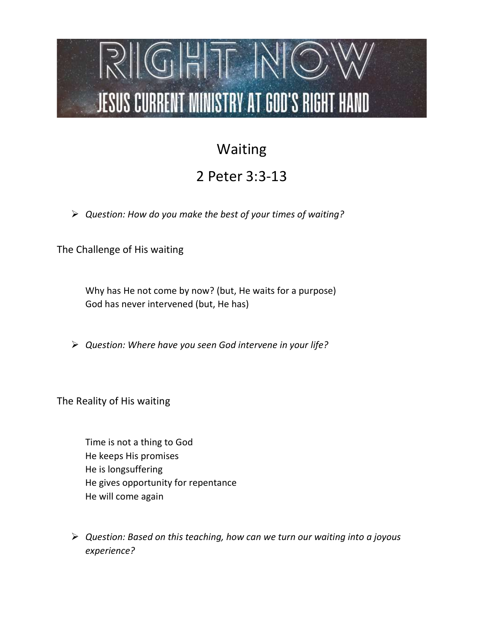## $RIGHIT INO$ **JESUS CURRENT MINISTRY AT GOD'S RIGHT HAND**

## Waiting

## 2 Peter 3:3-13

 $\triangleright$  Question: How do you make the best of your times of waiting?

The Challenge of His waiting

Why has He not come by now? (but, He waits for a purpose) God has never intervened (but, He has)

 $\triangleright$  Question: Where have you seen God intervene in your life?

The Reality of His waiting

Time is not a thing to God He keeps His promises He is longsuffering He gives opportunity for repentance He will come again

 $\triangleright$  Question: Based on this teaching, how can we turn our waiting into a joyous experience?